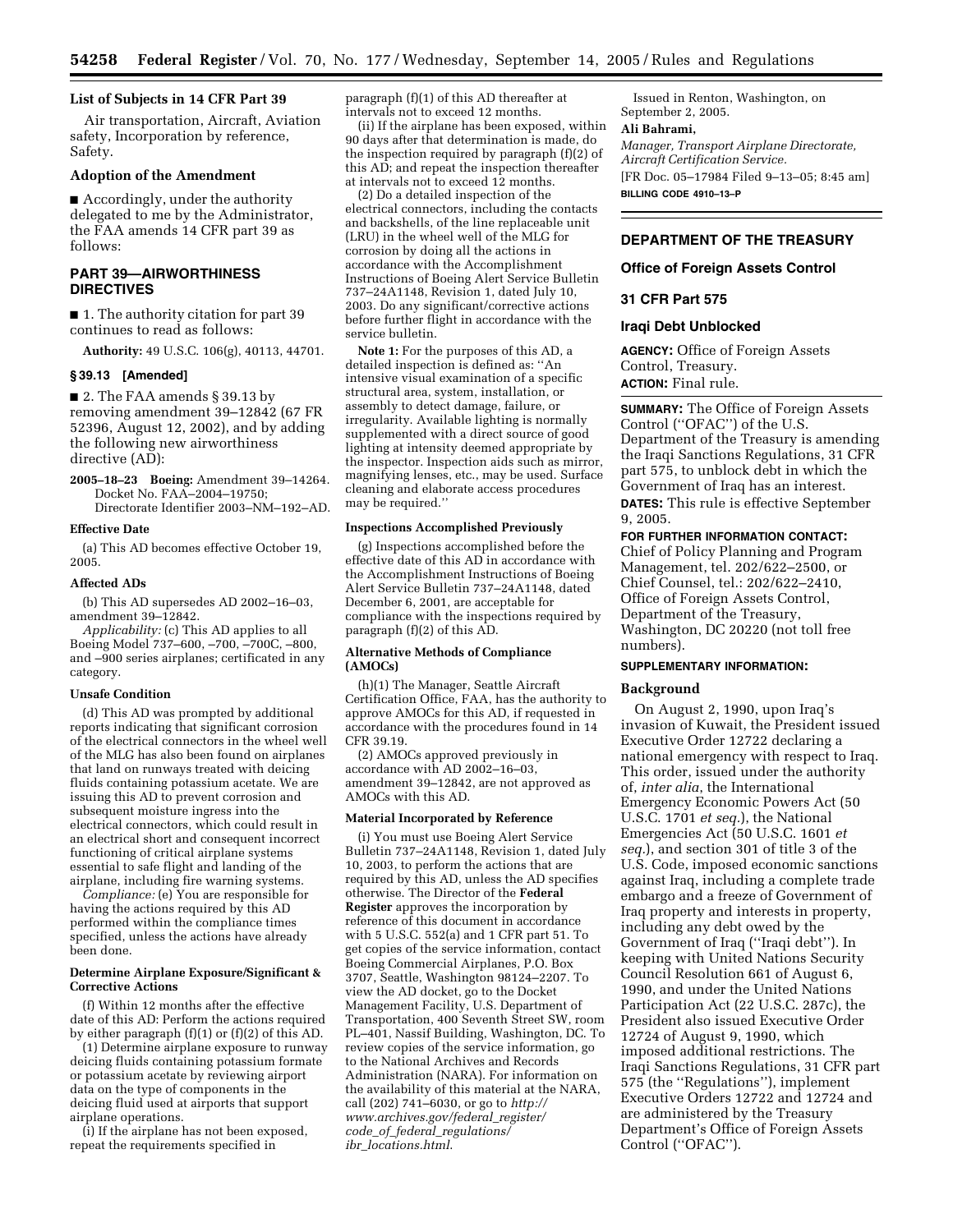## **List of Subjects in 14 CFR Part 39**

Air transportation, Aircraft, Aviation safety, Incorporation by reference, Safety.

#### **Adoption of the Amendment**

■ Accordingly, under the authority delegated to me by the Administrator, the FAA amends 14 CFR part 39 as follows:

# **PART 39—AIRWORTHINESS DIRECTIVES**

■ 1. The authority citation for part 39 continues to read as follows:

**Authority:** 49 U.S.C. 106(g), 40113, 44701.

#### **§ 39.13 [Amended]**

■ 2. The FAA amends § 39.13 by removing amendment 39–12842 (67 FR 52396, August 12, 2002), and by adding the following new airworthiness directive (AD):

**2005–18–23 Boeing:** Amendment 39–14264. Docket No. FAA–2004–19750; Directorate Identifier 2003–NM–192–AD.

#### **Effective Date**

(a) This AD becomes effective October 19, 2005.

#### **Affected ADs**

(b) This AD supersedes AD 2002–16–03, amendment 39–12842.

*Applicability:* (c) This AD applies to all Boeing Model 737–600, –700, –700C, –800, and –900 series airplanes; certificated in any category.

#### **Unsafe Condition**

(d) This AD was prompted by additional reports indicating that significant corrosion of the electrical connectors in the wheel well of the MLG has also been found on airplanes that land on runways treated with deicing fluids containing potassium acetate. We are issuing this AD to prevent corrosion and subsequent moisture ingress into the electrical connectors, which could result in an electrical short and consequent incorrect functioning of critical airplane systems essential to safe flight and landing of the airplane, including fire warning systems.

*Compliance:* (e) You are responsible for having the actions required by this AD performed within the compliance times specified, unless the actions have already been done.

### **Determine Airplane Exposure/Significant & Corrective Actions**

(f) Within 12 months after the effective date of this AD: Perform the actions required by either paragraph (f)(1) or (f)(2) of this AD.

(1) Determine airplane exposure to runway deicing fluids containing potassium formate or potassium acetate by reviewing airport data on the type of components in the deicing fluid used at airports that support airplane operations.

(i) If the airplane has not been exposed, repeat the requirements specified in

paragraph (f)(1) of this AD thereafter at intervals not to exceed 12 months.

(ii) If the airplane has been exposed, within 90 days after that determination is made, do the inspection required by paragraph (f)(2) of this AD; and repeat the inspection thereafter at intervals not to exceed 12 months.

(2) Do a detailed inspection of the electrical connectors, including the contacts and backshells, of the line replaceable unit (LRU) in the wheel well of the MLG for corrosion by doing all the actions in accordance with the Accomplishment Instructions of Boeing Alert Service Bulletin 737–24A1148, Revision 1, dated July 10, 2003. Do any significant/corrective actions before further flight in accordance with the service bulletin.

**Note 1:** For the purposes of this AD, a detailed inspection is defined as: ''An intensive visual examination of a specific structural area, system, installation, or assembly to detect damage, failure, or irregularity. Available lighting is normally supplemented with a direct source of good lighting at intensity deemed appropriate by the inspector. Inspection aids such as mirror, magnifying lenses, etc., may be used. Surface cleaning and elaborate access procedures may be required.''

### **Inspections Accomplished Previously**

(g) Inspections accomplished before the effective date of this AD in accordance with the Accomplishment Instructions of Boeing Alert Service Bulletin 737–24A1148, dated December 6, 2001, are acceptable for compliance with the inspections required by paragraph (f)(2) of this AD.

#### **Alternative Methods of Compliance (AMOCs)**

(h)(1) The Manager, Seattle Aircraft Certification Office, FAA, has the authority to approve AMOCs for this AD, if requested in accordance with the procedures found in 14 CFR 39.19.

(2) AMOCs approved previously in accordance with AD 2002–16–03, amendment 39–12842, are not approved as AMOCs with this AD.

### **Material Incorporated by Reference**

(i) You must use Boeing Alert Service Bulletin 737–24A1148, Revision 1, dated July 10, 2003, to perform the actions that are required by this AD, unless the AD specifies otherwise. The Director of the **Federal Register** approves the incorporation by reference of this document in accordance with 5 U.S.C. 552(a) and 1 CFR part 51. To get copies of the service information, contact Boeing Commercial Airplanes, P.O. Box 3707, Seattle, Washington 98124–2207. To view the AD docket, go to the Docket Management Facility, U.S. Department of Transportation, 400 Seventh Street SW, room PL–401, Nassif Building, Washington, DC. To review copies of the service information, go to the National Archives and Records Administration (NARA). For information on the availability of this material at the NARA, call (202) 741–6030, or go to *http:// www.archives.gov/federal*\_*register/ code*\_*of*\_*federal*\_*regulations/ ibr*\_*locations.html*.

Issued in Renton, Washington, on September 2, 2005.

# **Ali Bahrami,**

*Manager, Transport Airplane Directorate, Aircraft Certification Service.*  [FR Doc. 05–17984 Filed 9–13–05; 8:45 am] **BILLING CODE 4910–13–P** 

# **DEPARTMENT OF THE TREASURY**

## **Office of Foreign Assets Control**

## **31 CFR Part 575**

#### **Iraqi Debt Unblocked**

**AGENCY:** Office of Foreign Assets Control, Treasury. **ACTION:** Final rule.

**SUMMARY:** The Office of Foreign Assets Control (''OFAC'') of the U.S. Department of the Treasury is amending the Iraqi Sanctions Regulations, 31 CFR part 575, to unblock debt in which the Government of Iraq has an interest. **DATES:** This rule is effective September 9, 2005.

**FOR FURTHER INFORMATION CONTACT:**  Chief of Policy Planning and Program Management, tel. 202/622–2500, or Chief Counsel, tel.: 202/622–2410, Office of Foreign Assets Control, Department of the Treasury, Washington, DC 20220 (not toll free numbers).

# **SUPPLEMENTARY INFORMATION:**

#### **Background**

On August 2, 1990, upon Iraq's invasion of Kuwait, the President issued Executive Order 12722 declaring a national emergency with respect to Iraq. This order, issued under the authority of, *inter alia*, the International Emergency Economic Powers Act (50 U.S.C. 1701 *et seq.*), the National Emergencies Act (50 U.S.C. 1601 *et seq.*), and section 301 of title 3 of the U.S. Code, imposed economic sanctions against Iraq, including a complete trade embargo and a freeze of Government of Iraq property and interests in property, including any debt owed by the Government of Iraq (''Iraqi debt''). In keeping with United Nations Security Council Resolution 661 of August 6, 1990, and under the United Nations Participation Act (22 U.S.C. 287c), the President also issued Executive Order 12724 of August 9, 1990, which imposed additional restrictions. The Iraqi Sanctions Regulations, 31 CFR part 575 (the ''Regulations''), implement Executive Orders 12722 and 12724 and are administered by the Treasury Department's Office of Foreign Assets Control (''OFAC'').